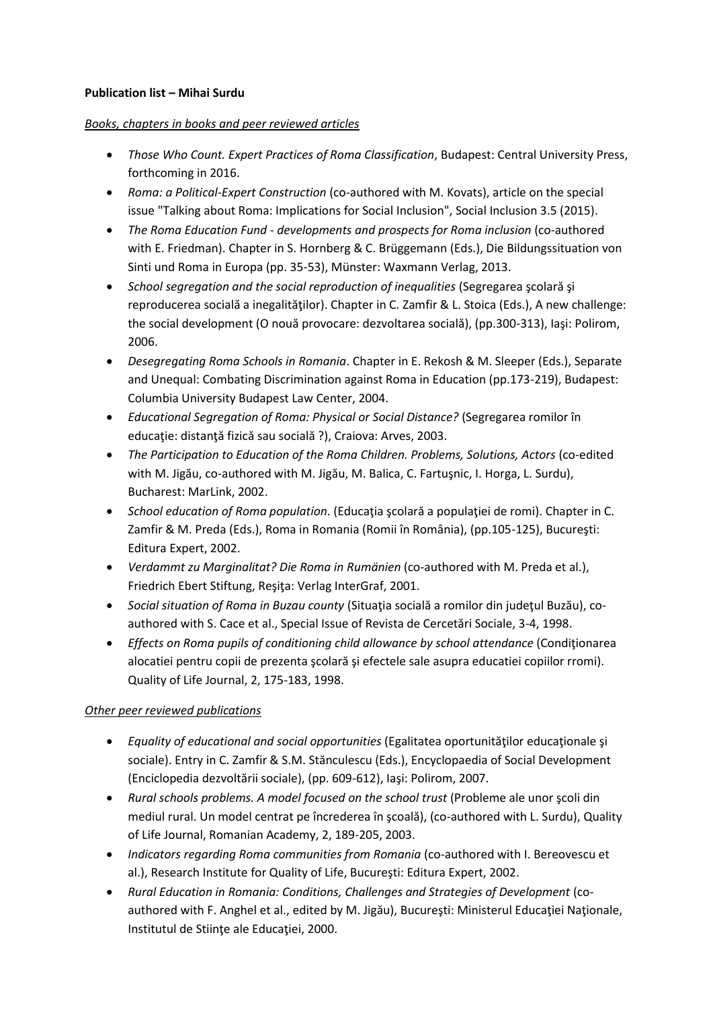## **Publication list – Mihai Surdu**

## *Books, chapters in books and peer reviewed articles*

- *Those Who Count. Expert Practices of Roma Classification*, Budapest: Central University Press, forthcoming in 2016.
- *Roma: a Political-Expert Construction* (co-authored with M. Kovats), article on the special issue "Talking about Roma: Implications for Social Inclusion", Social Inclusion 3.5 (2015).
- *The Roma Education Fund - developments and prospects for Roma inclusion* (co-authored with E. Friedman). Chapter in S. Hornberg & C. Brüggemann (Eds.), Die Bildungssituation von Sinti und Roma in Europa (pp. 35-53), Münster: Waxmann Verlag, 2013.
- *School segregation and the social reproduction of inequalities* (Segregarea şcolară şi reproducerea socială a inegalităţilor). Chapter in C. Zamfir & L. Stoica (Eds.), A new challenge: the social development (O nouă provocare: dezvoltarea socială), (pp.300-313), Iaşi: Polirom, 2006.
- *Desegregating Roma Schools in Romania*. Chapter in E. Rekosh & M. Sleeper (Eds.), Separate and Unequal: Combating Discrimination against Roma in Education (pp.173-219), Budapest: Columbia University Budapest Law Center, 2004.
- *Educational Segregation of Roma: Physical or Social Distance?* (Segregarea romilor în educaţie: distanţă fizică sau socială ?), Craiova: Arves, 2003.
- *The Participation to Education of the Roma Children. Problems, Solutions, Actors* (co-edited with M. Jigău, co-authored with M. Jigău, M. Balica, C. Fartuşnic, I. Horga, L. Surdu), Bucharest: MarLink, 2002.
- **School education of Roma population.** (Educatia scolară a populației de romi). Chapter in C. Zamfir & M. Preda (Eds.), Roma in Romania (Romii în România), (pp.105-125), Bucureşti: Editura Expert, 2002.
- *Verdammt zu Marginalitat? Die Roma in Rumänien* (co-authored with M. Preda et al.), Friedrich Ebert Stiftung, Reşiţa: Verlag InterGraf, 2001.
- *Social situation of Roma in Buzau county* (Situaţia socială a romilor din judeţul Buzău), coauthored with S. Cace et al., Special Issue of Revista de Cercetări Sociale, 3-4, 1998.
- *Effects on Roma pupils of conditioning child allowance by school attendance* (Condiţionarea alocatiei pentru copii de prezenta şcolară şi efectele sale asupra educatiei copiilor rromi). Quality of Life Journal, 2, 175-183, 1998.

## *Other peer reviewed publications*

- **Equality of educational and social opportunities (Egalitatea oportunităților educationale și educ**tonale și sociale). Entry in C. Zamfir & S.M. Stănculescu (Eds.), Encyclopaedia of Social Development (Enciclopedia dezvoltării sociale), (pp. 609-612), Iaşi: Polirom, 2007.
- *Rural schools problems. A model focused on the school trust* (Probleme ale unor şcoli din mediul rural. Un model centrat pe încrederea în şcoală), (co-authored with L. Surdu), Quality of Life Journal, Romanian Academy, 2, 189-205, 2003.
- *Indicators regarding Roma communities from Romania* (co-authored with I. Bereovescu et al.), Research Institute for Quality of Life, Bucureşti: Editura Expert, 2002.
- *Rural Education in Romania: Conditions, Challenges and Strategies of Development* (coauthored with F. Anghel et al., edited by M. Jigău), Bucureşti: Ministerul Educaţiei Naţionale, Institutul de Stiinţe ale Educaţiei, 2000.